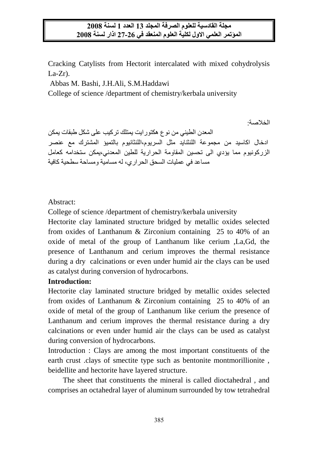Cracking Catylists from Hectorit intercalated with mixed cohydrolysis  $La-Zr$ ).

Abbas M. Bashi, J.H.Ali, S.M.Haddawi

College of science /department of chemistry/kerbala university

الخالصة: المعدن الطيني من نوع هكتورايت يمتلك تركيب على شكل طبقات يمكن ادخال اكاسيد من مجموعة اللنثنايد مثل السريوم,اللنثانيوم بالتميؤ المشترك مع عنصر الزركونيوم مما يؤدي الى تحسين المقاومة الحرارية للطين المعدني,يمكن ستخدامه كعامل مساعد في عمليات السحق الحراري, له مسامية ومساحة سطحية كافية

### Abstract:

College of science /department of chemistry/kerbala university

Hectorite clay laminated structure bridged by metallic oxides selected from oxides of Lanthanum & Zirconium containing 25 to 40% of an oxide of metal of the group of Lanthanum like cerium ,La,Gd, the presence of Lanthanum and cerium improves the thermal resistance during a dry calcinations or even under humid air the clays can be used as catalyst during conversion of hydrocarbons.

# **Introduction:**

Hectorite clay laminated structure bridged by metallic oxides selected from oxides of Lanthanum & Zirconium containing 25 to 40% of an oxide of metal of the group of Lanthanum like cerium the presence of Lanthanum and cerium improves the thermal resistance during a dry calcinations or even under humid air the clays can be used as catalyst during conversion of hydrocarbons.

Introduction : Clays are among the most important constituents of the earth crust .clays of smectite type such as bentonite montmorillionite , beidellite and hectorite have layered structure.

 The sheet that constituents the mineral is called dioctahedral , and comprises an octahedral layer of aluminum surrounded by tow tetrahedral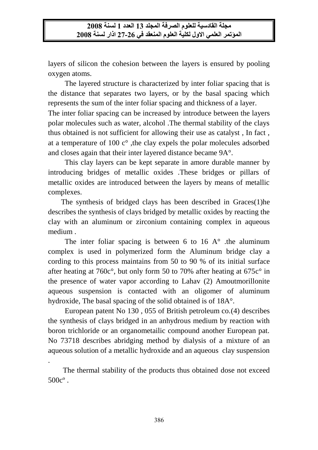layers of silicon the cohesion between the layers is ensured by pooling oxygen atoms.

 The layered structure is characterized by inter foliar spacing that is the distance that separates two layers, or by the basal spacing which represents the sum of the inter foliar spacing and thickness of a layer. The inter foliar spacing can be increased by introduce between the layers polar molecules such as water, alcohol .The thermal stability of the clays thus obtained is not sufficient for allowing their use as catalyst , In fact , at a temperature of 100 c° ,the clay expels the polar molecules adsorbed

and closes again that their inter layered distance became 9A°. This clay layers can be kept separate in amore durable manner by introducing bridges of metallic oxides .These bridges or pillars of metallic oxides are introduced between the layers by means of metallic complexes.

 The synthesis of bridged clays has been described in Graces(1)he describes the synthesis of clays bridged by metallic oxides by reacting the clay with an aluminum or zirconium containing complex in aqueous medium .

The inter foliar spacing is between 6 to 16  $A^{\circ}$  the aluminum complex is used in polymerized form the Aluminum bridge clay a cording to this process maintains from 50 to 90 % of its initial surface after heating at 760c°, but only form 50 to 70% after heating at 675c° in the presence of water vapor according to Lahav (2) Amoutmorillonite aqueous suspension is contacted with an oligomer of aluminum hydroxide, The basal spacing of the solid obtained is of 18A°.

 European patent No 130 , 055 of British petroleum co.(4) describes the synthesis of clays bridged in an anhydrous medium by reaction with boron trichloride or an organometailic compound another European pat. No 73718 describes abridging method by dialysis of a mixture of an aqueous solution of a metallic hydroxide and an aqueous clay suspension

 The thermal stability of the products thus obtained dose not exceed 500cº .

.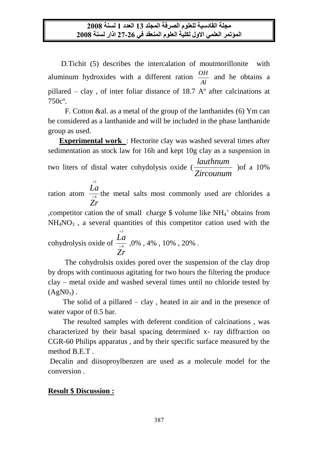D.Tichit (5) describes the intercalation of moutmorillonite with aluminum hydroxides with a different ration *Al*  $\frac{OH}{H}$  and he obtains a pillared – clay , of inter foliar distance of 18.7 Aº after calcinations at 750cº.

 F. Cotton &al. as a metal of the group of the lanthanides (6) Ym can be considered as a lanthanide and will be included in the phase lanthanide group as used.

 **Experimental work** : Hectorite clay was washed several times after sedimentation as stock law for 16h and kept 10g clay as a suspension in two liters of distal water cohydolysis oxide ( *Zircounum lauthnum* )of a 10% 3

ration atom  $\frac{22}{+4}$ *Zr La* the metal salts most commonly used are chlorides a

, competitor cation the of small charge  $\$$  volume like NH<sub>4</sub><sup>+</sup> obtains from  $NH<sub>4</sub>NO<sub>3</sub>$ , a several quantities of this competitor cation used with the

cohydrolysis oxide of  $\frac{2\pi}{1+4}$ 3  $^{+}$  $^{+}$ *Zr La* ,0% , 4% , 10% , 20% .

 The cohydrolsis oxides pored over the suspension of the clay drop by drops with continuous agitating for two hours the filtering the produce clay – metal oxide and washed several times until no chloride tested by  $(AgN0_3)$ .

The solid of a pillared  $-$  clay, heated in air and in the presence of water vapor of 0.5 bar.

 The resulted samples with deferent condition of calcinations , was characterized by their basal spacing determined x- ray diffraction on CGR-60 Philips apparatus , and by their specific surface measured by the method B.E.T .

Decalin and diisoproylbenzen are used as a molecule model for the conversion .

### **Result \$ Discussion :**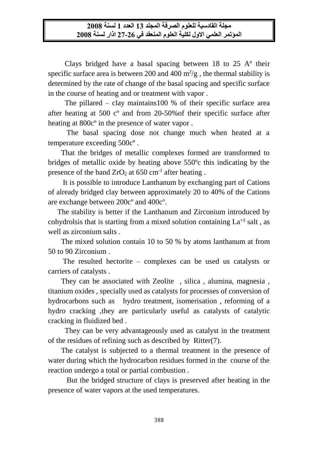Clays bridged have a basal spacing between  $18$  to  $25$  A $\degree$  their specific surface area is between 200 and 400  $m^2/g$ , the thermal stability is determined by the rate of change of the basal spacing and specific surface in the course of heating and or treatment with vapor .

 The pillared – clay maintains100 % of their specific surface area after heating at 500 cº and from 20-50%of their specific surface after heating at 800cº in the presence of water vapor .

 The basal spacing dose not change much when heated at a temperature exceeding 500cº .

 That the bridges of metallic complexes formed are transformed to bridges of metallic oxide by heating above 550ºc this indicating by the presence of the band  $ZrO<sub>2</sub>$  at 650 cm<sup>-1</sup> after heating.

 It is possible to introduce Lanthanum by exchanging part of Cations of already bridged clay between approximately 20 to 40% of the Cations are exchange between 200cº and 400cº.

 The stability is better if the Lanthanum and Zirconium introduced by cohydrolsis that is starting from a mixed solution containing  $La^{+3}$  salt, as well as zirconium salts .

 The mixed solution contain 10 to 50 % by atoms lanthanum at from 50 to 90 Zirconium .

 The resulted hectorite – complexes can be used us catalysts or carriers of catalysts .

 They can be associated with Zeolite , silica , alumina, magnesia , titanium oxides , specially used as catalysts for processes of conversion of hydrocarbons such as hydro treatment, isomerisation , reforming of a hydro cracking ,they are particularly useful as catalysts of catalytic cracking in fluidized bed .

 They can be very advantageously used as catalyst in the treatment of the residues of refining such as described by Ritter(7).

 The catalyst is subjected to a thermal treatment in the presence of water during which the hydrocarbon residues formed in the course of the reaction undergo a total or partial combustion .

 But the bridged structure of clays is preserved after heating in the presence of water vapors at the used temperatures.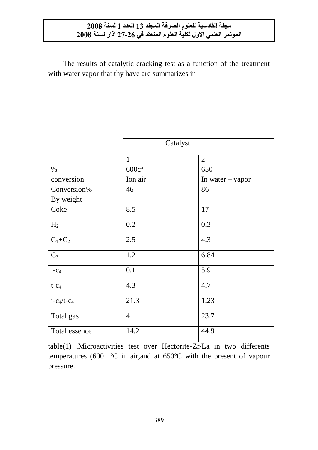The results of catalytic cracking test as a function of the treatment with water vapor that thy have are summarizes in

|                                    | Catalyst       |                    |  |  |
|------------------------------------|----------------|--------------------|--|--|
|                                    | $\mathbf{1}$   | $\overline{2}$     |  |  |
| %                                  | $600c$ °       | 650                |  |  |
| conversion                         | Ion air        | In water $-$ vapor |  |  |
| Conversion%                        | 46             | 86                 |  |  |
| By weight                          |                |                    |  |  |
| Coke                               | 8.5            | 17                 |  |  |
| H <sub>2</sub>                     | 0.2            | 0.3                |  |  |
| $\mathbf{C}_1\text{+}\mathbf{C}_2$ | 2.5            | 4.3                |  |  |
| $C_3$                              | 1.2            | 6.84               |  |  |
| $i$ -C <sub>4</sub>                | 0.1            | 5.9                |  |  |
| $t-c_4$                            | 4.3            | 4.7                |  |  |
| $i - c_4/t - c_4$                  | 21.3           | 1.23               |  |  |
| Total gas                          | $\overline{4}$ | 23.7               |  |  |
| Total essence                      | 14.2           | 44.9               |  |  |

table(1) .Microactivities test over Hectorite-Zr/La in two differents temperatures (600  $\degree$ C in air, and at 650 $\degree$ C with the present of vapour pressure.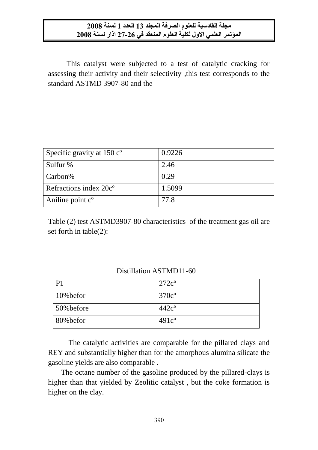This catalyst were subjected to a test of catalytic cracking for assessing their activity and their selectivity ,this test corresponds to the standard ASTMD 3907-80 and the

| Specific gravity at $150 co$       | 0.9226 |
|------------------------------------|--------|
| Sulfur %                           | 2.46   |
| Carbon%                            | 0.29   |
| Refractions index 20c <sup>o</sup> | 1.5099 |
| Aniline point c <sup>o</sup>       | 77.8   |

Table (2) test ASTMD3907-80 characteristics of the treatment gas oil are set forth in table(2):

| P <sub>1</sub> | $272c^{\circ}$ |
|----------------|----------------|
| $10%$ befor    | $370c^{\circ}$ |
| 50% before     | $442c^{\circ}$ |
| 80% befor      | $491c^{\circ}$ |

### Distillation ASTMD11-60

 The catalytic activities are comparable for the pillared clays and REY and substantially higher than for the amorphous alumina silicate the gasoline yields are also comparable .

 The octane number of the gasoline produced by the pillared-clays is higher than that yielded by Zeolitic catalyst , but the coke formation is higher on the clay.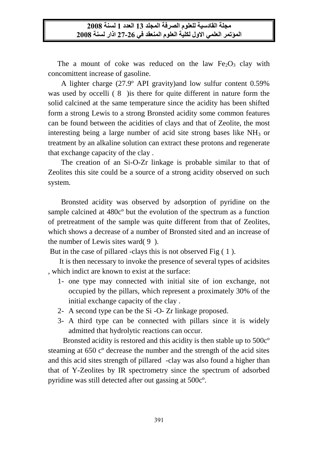The a mount of coke was reduced on the law  $Fe<sub>2</sub>O<sub>3</sub>$  clay with concomittent increase of gasoline.

 A lighter charge (27.9º API gravity)and low sulfur content 0.59% was used by occelli (8) is there for quite different in nature form the solid calcined at the same temperature since the acidity has been shifted form a strong Lewis to a strong Bronsted acidity some common features can be found between the acidities of clays and that of Zeolite, the most interesting being a large number of acid site strong bases like  $NH_3$  or treatment by an alkaline solution can extract these protons and regenerate that exchange capacity of the clay .

 The creation of an Si-O-Zr linkage is probable similar to that of Zeolites this site could be a source of a strong acidity observed on such system.

 Bronsted acidity was observed by adsorption of pyridine on the sample calcined at 480cº but the evolution of the spectrum as a function of pretreatment of the sample was quite different from that of Zeolites, which shows a decrease of a number of Bronsted sited and an increase of the number of Lewis sites ward( 9 ).

But in the case of pillared -clays this is not observed Fig ( 1 ).

 It is then necessary to invoke the presence of several types of acidsites , which indict are known to exist at the surface:

- 1- one type may connected with initial site of ion exchange, not occupied by the pillars, which represent a proximately 30% of the initial exchange capacity of the clay .
- 2- A second type can be the Si -O- Zr linkage proposed.
- 3- A third type can be connected with pillars since it is widely admitted that hydrolytic reactions can occur.

 Bronsted acidity is restored and this acidity is then stable up to 500cº steaming at 650 cº decrease the number and the strength of the acid sites and this acid sites strength of pillared -clay was also found a higher than that of Y-Zeolites by IR spectrometry since the spectrum of adsorbed pyridine was still detected after out gassing at 500cº.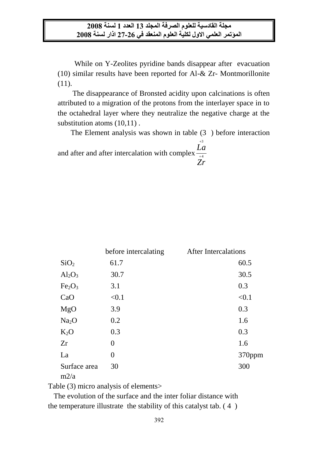While on Y-Zeolites pyridine bands disappear after evacuation (10) similar results have been reported for Al-& Zr- Montmorillonite (11).

 The disappearance of Bronsted acidity upon calcinations is often attributed to a migration of the protons from the interlayer space in to the octahedral layer where they neutralize the negative charge at the substitution atoms (10,11) .

The Element analysis was shown in table (3 ) before interaction

and after and after intercalation with complex  $\frac{2\pi}{t^4}$ <br>Zr 3  $^{+}$ *La*

|                                | before intercalating | <b>After Intercalations</b> |
|--------------------------------|----------------------|-----------------------------|
| SiO <sub>2</sub>               | 61.7                 | 60.5                        |
| $Al_2O_3$                      | 30.7                 | 30.5                        |
| Fe <sub>2</sub> O <sub>3</sub> | 3.1                  | 0.3                         |
| CaO                            | < 0.1                | < 0.1                       |
| MgO                            | 3.9                  | 0.3                         |
| Na <sub>2</sub> O              | 0.2                  | 1.6                         |
| $K_2O$                         | 0.3                  | 0.3                         |
| Zr                             | $\overline{0}$       | 1.6                         |
| La                             | $\overline{0}$       | 370ppm                      |
| Surface area<br>m2/a           | 30                   | 300                         |

Table (3) micro analysis of elements>

 The evolution of the surface and the inter foliar distance with the temperature illustrate the stability of this catalyst tab. ( 4 )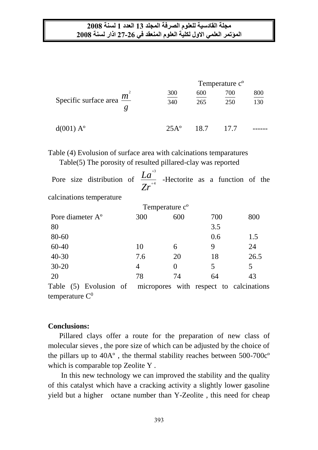|                                     | Temperature c <sup>o</sup> |            |            |            |
|-------------------------------------|----------------------------|------------|------------|------------|
| Specific surface area $\frac{m}{m}$ | 300<br>340                 | 600<br>265 | 700<br>250 | 800<br>130 |
| d(001) A <sup>o</sup>               | $25A^{\circ}$              | 18.7       | 177        |            |

Table (4) Evolusion of surface area with calcinations temparatures Table(5) The porosity of resulted pillared-clay was reported

| Pore size distribution of    | $+3$<br>$\underline{\underline{L}a}$<br>$\overline{Zr}^{4}$ |                            | -Hectorite as a function of the |      |
|------------------------------|-------------------------------------------------------------|----------------------------|---------------------------------|------|
| calcinations temperature     |                                                             |                            |                                 |      |
|                              |                                                             | Temperature c <sup>o</sup> |                                 |      |
| Pore diameter A <sup>o</sup> | 300                                                         | 600                        | 700                             | 800  |
| 80                           |                                                             |                            | 3.5                             |      |
| 80-60                        |                                                             |                            | 0.6                             | 1.5  |
| $60 - 40$                    | 10                                                          | 6                          | 9                               | 24   |
| $40 - 30$                    | 7.6                                                         | 20                         | 18                              | 26.5 |
| $30 - 20$                    | 4                                                           | $\theta$                   | 5                               | 5    |
| 20                           | 78                                                          | 74                         | 64                              | 43   |
| .                            |                                                             | $\bullet$ . $\bullet$      |                                 |      |

Table (5) Evolusion of micropores with respect to calcinations temperature  $C^0$ 

### **Conclusions:**

 Pillared clays offer a route for the preparation of new class of molecular sieves , the pore size of which can be adjusted by the choice of the pillars up to 40Aº , the thermal stability reaches between 500-700cº which is comparable top Zeolite Y .

 In this new technology we can improved the stability and the quality of this catalyst which have a cracking activity a slightly lower gasoline yield but a higher octane number than Y-Zeolite , this need for cheap